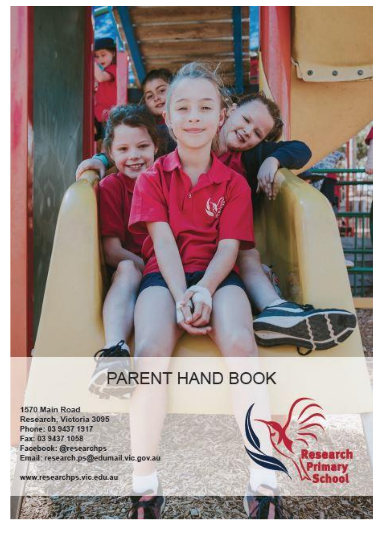

# PARENT HAND BOOK

ırch

**Iry** 

lool

1570 Main Road Research, Victoria 3095 Phone: 03 9437 1917 Fax: 03 9437 1058 Facebook: @researchps Email: research.ps@edumail.vic.gov.au

www.researchps.vic.edu.au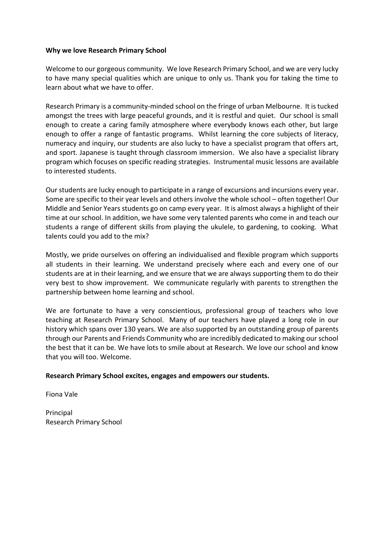# **Why we love Research Primary School**

Welcome to our gorgeous community. We love Research Primary School, and we are very lucky to have many special qualities which are unique to only us. Thank you for taking the time to learn about what we have to offer.

Research Primary is a community-minded school on the fringe of urban Melbourne. It is tucked amongst the trees with large peaceful grounds, and it is restful and quiet. Our school is small enough to create a caring family atmosphere where everybody knows each other, but large enough to offer a range of fantastic programs. Whilst learning the core subjects of literacy, numeracy and inquiry, our students are also lucky to have a specialist program that offers art, and sport. Japanese is taught through classroom immersion. We also have a specialist library program which focuses on specific reading strategies. Instrumental music lessons are available to interested students.

Our students are lucky enough to participate in a range of excursions and incursions every year. Some are specific to their year levels and others involve the whole school – often together! Our Middle and Senior Years students go on camp every year. It is almost always a highlight of their time at our school. In addition, we have some very talented parents who come in and teach our students a range of different skills from playing the ukulele, to gardening, to cooking. What talents could you add to the mix?

Mostly, we pride ourselves on offering an individualised and flexible program which supports all students in their learning. We understand precisely where each and every one of our students are at in their learning, and we ensure that we are always supporting them to do their very best to show improvement. We communicate regularly with parents to strengthen the partnership between home learning and school.

We are fortunate to have a very conscientious, professional group of teachers who love teaching at Research Primary School. Many of our teachers have played a long role in our history which spans over 130 years. We are also supported by an outstanding group of parents through our Parents and Friends Community who are incredibly dedicated to making our school the best that it can be. We have lots to smile about at Research. We love our school and know that you will too. Welcome.

# **Research Primary School excites, engages and empowers our students.**

Fiona Vale

Principal Research Primary School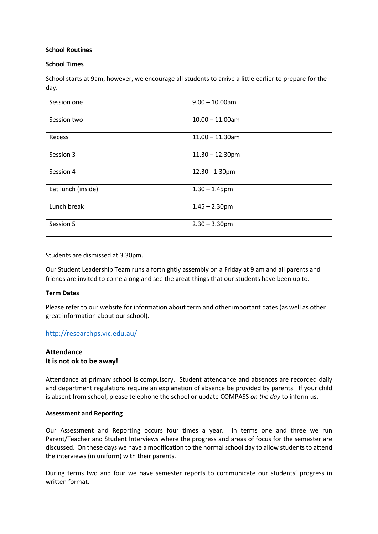# **School Routines**

# **School Times**

School starts at 9am, however, we encourage all students to arrive a little earlier to prepare for the day.

| Session one        | $9.00 - 10.00$ am  |
|--------------------|--------------------|
| Session two        | $10.00 - 11.00$ am |
| Recess             | $11.00 - 11.30$ am |
| Session 3          | $11.30 - 12.30$ pm |
| Session 4          | 12.30 - 1.30pm     |
| Eat lunch (inside) | $1.30 - 1.45$ pm   |
| Lunch break        | $1.45 - 2.30$ pm   |
| Session 5          | $2.30 - 3.30$ pm   |

Students are dismissed at 3.30pm.

Our Student Leadership Team runs a fortnightly assembly on a Friday at 9 am and all parents and friends are invited to come along and see the great things that our students have been up to.

# **Term Dates**

Please refer to our website for information about term and other important dates (as well as other great information about our school).

# <http://researchps.vic.edu.au/>

# **Attendance It is not ok to be away!**

Attendance at primary school is compulsory. Student attendance and absences are recorded daily and department regulations require an explanation of absence be provided by parents. If your child is absent from school, please telephone the school or update COMPASS *on the day* to inform us.

# **Assessment and Reporting**

Our Assessment and Reporting occurs four times a year. In terms one and three we run Parent/Teacher and Student Interviews where the progress and areas of focus for the semester are discussed. On these days we have a modification to the normal school day to allow students to attend the interviews (in uniform) with their parents.

During terms two and four we have semester reports to communicate our students' progress in written format.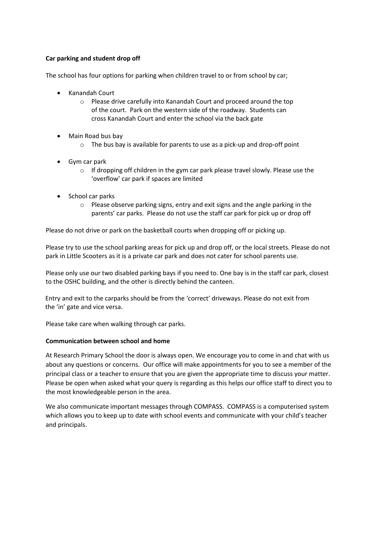# **Car parking and student drop off**

The school has four options for parking when children travel to or from school by car;

- Kanandah Court
	- o Please drive carefully into Kanandah Court and proceed around the top of the court. Park on the western side of the roadway. Students can cross Kanandah Court and enter the school via the back gate
- Main Road bus bay
	- o The bus bay is available for parents to use as a pick-up and drop-off point
- Gym car park
	- $\circ$  If dropping off children in the gym car park please travel slowly. Please use the 'overflow' car park if spaces are limited
- School car parks
	- o Please observe parking signs, entry and exit signs and the angle parking in the parents' car parks. Please do not use the staff car park for pick up or drop off

Please do not drive or park on the basketball courts when dropping off or picking up.

Please try to use the school parking areas for pick up and drop off, or the local streets. Please do not park in Little Scooters as it is a private car park and does not cater for school parents use.

Please only use our two disabled parking bays if you need to. One bay is in the staff car park, closest to the OSHC building, and the other is directly behind the canteen.

Entry and exit to the carparks should be from the 'correct' driveways. Please do not exit from the 'in' gate and vice versa.

Please take care when walking through car parks.

# **Communication between school and home**

At Research Primary School the door is always open. We encourage you to come in and chat with us about any questions or concerns. Our office will make appointments for you to see a member of the principal class or a teacher to ensure that you are given the appropriate time to discuss your matter. Please be open when asked what your query is regarding as this helps our office staff to direct you to the most knowledgeable person in the area.

We also communicate important messages through COMPASS. COMPASS is a computerised system which allows you to keep up to date with school events and communicate with your child's teacher and principals.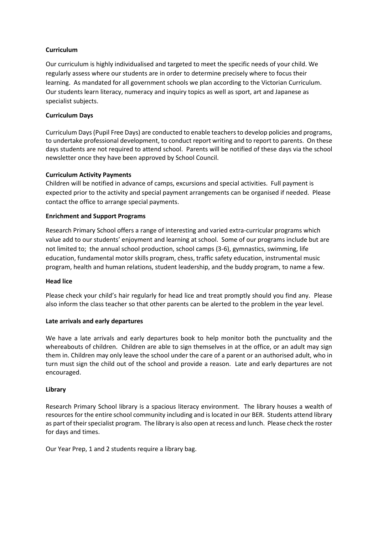# **Curriculum**

Our curriculum is highly individualised and targeted to meet the specific needs of your child. We regularly assess where our students are in order to determine precisely where to focus their learning. As mandated for all government schools we plan according to the Victorian Curriculum. Our students learn literacy, numeracy and inquiry topics as well as sport, art and Japanese as specialist subjects.

# **Curriculum Days**

Curriculum Days (Pupil Free Days) are conducted to enable teachers to develop policies and programs, to undertake professional development, to conduct report writing and to report to parents. On these days students are not required to attend school. Parents will be notified of these days via the school newsletter once they have been approved by School Council.

# **Curriculum Activity Payments**

Children will be notified in advance of camps, excursions and special activities. Full payment is expected prior to the activity and special payment arrangements can be organised if needed. Please contact the office to arrange special payments.

# **Enrichment and Support Programs**

Research Primary School offers a range of interesting and varied extra-curricular programs which value add to our students' enjoyment and learning at school. Some of our programs include but are not limited to; the annual school production, school camps (3-6), gymnastics, swimming, life education, fundamental motor skills program, chess, traffic safety education, instrumental music program, health and human relations, student leadership, and the buddy program, to name a few.

# **Head lice**

Please check your child's hair regularly for head lice and treat promptly should you find any. Please also inform the class teacher so that other parents can be alerted to the problem in the year level.

# **Late arrivals and early departures**

We have a late arrivals and early departures book to help monitor both the punctuality and the whereabouts of children. Children are able to sign themselves in at the office, or an adult may sign them in. Children may only leave the school under the care of a parent or an authorised adult, who in turn must sign the child out of the school and provide a reason. Late and early departures are not encouraged.

# **Library**

Research Primary School library is a spacious literacy environment. The library houses a wealth of resources for the entire school community including and is located in our BER. Students attend library as part of their specialist program. The library is also open at recess and lunch. Please check the roster for days and times.

Our Year Prep, 1 and 2 students require a library bag.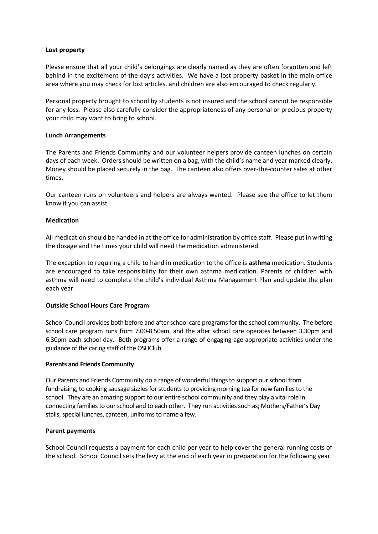## **Lost property**

Please ensure that all your child's belongings are clearly named as they are often forgotten and left behind in the excitement of the day's activities. We have a lost property basket in the main office area where you may check for lost articles, and children are also encouraged to check regularly.

Personal property brought to school by students is not insured and the school cannot be responsible for any loss. Please also carefully consider the appropriateness of any personal or precious property your child may want to bring to school.

## **Lunch Arrangements**

The Parents and Friends Community and our volunteer helpers provide canteen lunches on certain days of each week. Orders should be written on a bag, with the child's name and year marked clearly. Money should be placed securely in the bag. The canteen also offers over-the-counter sales at other times.

Our canteen runs on volunteers and helpers are always wanted. Please see the office to let them know if you can assist.

## **Medication**

All medication should be handed in at the office for administration by office staff. Please put in writing the dosage and the times your child will need the medication administered.

The exception to requiring a child to hand in medication to the office is **asthma** medication. Students are encouraged to take responsibility for their own asthma medication. Parents of children with asthma will need to complete the child's individual Asthma Management Plan and update the plan each year.

# **Outside School Hours Care Program**

School Council provides both before and after school care programs for the school community. The before school care program runs from 7.00-8.50am, and the after school care operates between 3.30pm and 6.30pm each school day. Both programs offer a range of engaging age appropriate activities under the guidance of the caring staff of the OSHClub.

#### **Parents and Friends Community**

Our Parents and Friends Community do a range of wonderful things to support our school from fundraising, to cooking sausage sizzles for students to providing morning tea for new families to the school. They are an amazing support to our entire school community and they play a vital role in connecting families to our school and to each other. They run activities such as; Mothers/Father's Day stalls, special lunches, canteen, uniforms to name a few.

#### **Parent payments**

School Council requests a payment for each child per year to help cover the general running costs of the school. School Council sets the levy at the end of each year in preparation for the following year.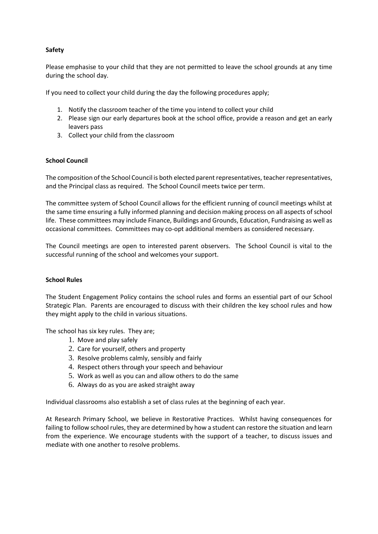# **Safety**

Please emphasise to your child that they are not permitted to leave the school grounds at any time during the school day.

If you need to collect your child during the day the following procedures apply;

- 1. Notify the classroom teacher of the time you intend to collect your child
- 2. Please sign our early departures book at the school office, provide a reason and get an early leavers pass
- 3. Collect your child from the classroom

# **School Council**

The composition of the School Council is both elected parent representatives, teacher representatives, and the Principal class as required. The School Council meets twice per term.

The committee system of School Council allows for the efficient running of council meetings whilst at the same time ensuring a fully informed planning and decision making process on all aspects of school life. These committees may include Finance, Buildings and Grounds, Education, Fundraising as well as occasional committees. Committees may co-opt additional members as considered necessary.

The Council meetings are open to interested parent observers. The School Council is vital to the successful running of the school and welcomes your support.

# **School Rules**

The Student Engagement Policy contains the school rules and forms an essential part of our School Strategic Plan. Parents are encouraged to discuss with their children the key school rules and how they might apply to the child in various situations.

The school has six key rules. They are;

- 1. Move and play safely
- 2. Care for yourself, others and property
- 3. Resolve problems calmly, sensibly and fairly
- 4. Respect others through your speech and behaviour
- 5. Work as well as you can and allow others to do the same
- 6. Always do as you are asked straight away

Individual classrooms also establish a set of class rules at the beginning of each year.

At Research Primary School, we believe in Restorative Practices. Whilst having consequences for failing to follow school rules, they are determined by how a student can restore the situation and learn from the experience. We encourage students with the support of a teacher, to discuss issues and mediate with one another to resolve problems.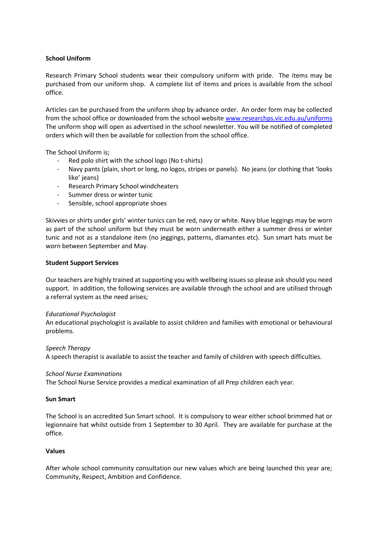# **School Uniform**

Research Primary School students wear their compulsory uniform with pride. The items may be purchased from our uniform shop. A complete list of items and prices is available from the school office.

Articles can be purchased from the uniform shop by advance order. An order form may be collected from the school office or downloaded from the school website [www.researchps.vic.edu.au/uniforms](http://www.researchps.vic.edu.au/uniforms)  The uniform shop will open as advertised in the school newsletter. You will be notified of completed orders which will then be available for collection from the school office.

The School Uniform is;

- Red polo shirt with the school logo (No t-shirts)
- Navy pants (plain, short or long, no logos, stripes or panels). No jeans (or clothing that 'looks like' jeans)
- Research Primary School windcheaters
- Summer dress or winter tunic
- Sensible, school appropriate shoes

Skivvies or shirts under girls' winter tunics can be red, navy or white. Navy blue leggings may be worn as part of the school uniform but they must be worn underneath either a summer dress or winter tunic and not as a standalone item (no jeggings, patterns, diamantes etc). Sun smart hats must be worn between September and May.

#### **Student Support Services**

Our teachers are highly trained at supporting you with wellbeing issues so please ask should you need support. In addition, the following services are available through the school and are utilised through a referral system as the need arises;

#### *Educational Psychologist*

An educational psychologist is available to assist children and families with emotional or behavioural problems.

#### *Speech Therapy*

A speech therapist is available to assist the teacher and family of children with speech difficulties.

#### *School Nurse Examinations*

The School Nurse Service provides a medical examination of all Prep children each year.

## **Sun Smart**

The School is an accredited Sun Smart school. It is compulsory to wear either school brimmed hat or legionnaire hat whilst outside from 1 September to 30 April. They are available for purchase at the office.

#### **Values**

After whole school community consultation our new values which are being launched this year are; Community, Respect, Ambition and Confidence.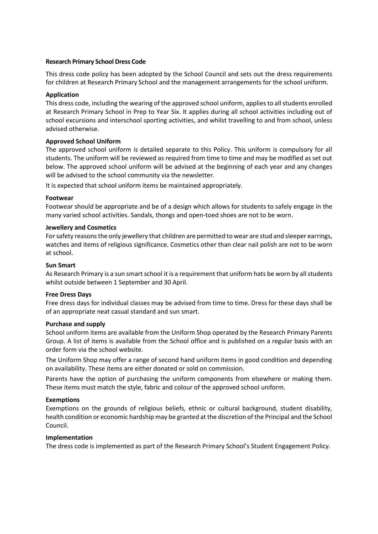# **Research Primary School Dress Code**

This dress code policy has been adopted by the School Council and sets out the dress requirements for children at Research Primary School and the management arrangements for the school uniform.

# **Application**

This dress code, including the wearing of the approved school uniform, applies to all students enrolled at Research Primary School in Prep to Year Six. It applies during all school activities including out of school excursions and interschool sporting activities, and whilst travelling to and from school, unless advised otherwise.

## **Approved School Uniform**

The approved school uniform is detailed separate to this Policy. This uniform is compulsory for all students. The uniform will be reviewed as required from time to time and may be modified as set out below. The approved school uniform will be advised at the beginning of each year and any changes will be advised to the school community via the newsletter.

It is expected that school uniform items be maintained appropriately.

## **Footwear**

Footwear should be appropriate and be of a design which allows for students to safely engage in the many varied school activities. Sandals, thongs and open-toed shoes are not to be worn.

## **Jewellery and Cosmetics**

For safety reasons the only jewellery that children are permitted to wear are stud and sleeper earrings, watches and items of religious significance. Cosmetics other than clear nail polish are not to be worn at school.

## **Sun Smart**

As Research Primary is a sun smart school it is a requirement that uniform hats be worn by all students whilst outside between 1 September and 30 April.

#### **Free Dress Days**

Free dress days for individual classes may be advised from time to time. Dress for these days shall be of an appropriate neat casual standard and sun smart.

#### **Purchase and supply**

School uniform items are available from the Uniform Shop operated by the Research Primary Parents Group. A list of items is available from the School office and is published on a regular basis with an order form via the school website.

The Uniform Shop may offer a range of second hand uniform items in good condition and depending on availability. These items are either donated or sold on commission.

Parents have the option of purchasing the uniform components from elsewhere or making them. These items must match the style, fabric and colour of the approved school uniform.

# **Exemptions**

Exemptions on the grounds of religious beliefs, ethnic or cultural background, student disability, health condition or economic hardship may be granted at the discretion of the Principal and the School Council.

#### **Implementation**

The dress code is implemented as part of the Research Primary School's Student Engagement Policy.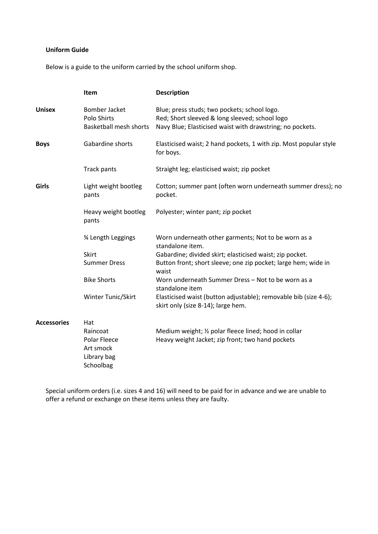# **Uniform Guide**

Below is a guide to the uniform carried by the school uniform shop.

|                    | Item                                                          | <b>Description</b>                                                                                                                                          |
|--------------------|---------------------------------------------------------------|-------------------------------------------------------------------------------------------------------------------------------------------------------------|
| <b>Unisex</b>      | Bomber Jacket<br>Polo Shirts<br><b>Basketball mesh shorts</b> | Blue; press studs; two pockets; school logo.<br>Red; Short sleeved & long sleeved; school logo<br>Navy Blue; Elasticised waist with drawstring; no pockets. |
| <b>Boys</b>        | Gabardine shorts                                              | Elasticised waist; 2 hand pockets, 1 with zip. Most popular style<br>for boys.                                                                              |
|                    | Track pants                                                   | Straight leg; elasticised waist; zip pocket                                                                                                                 |
| Girls              | Light weight bootleg<br>pants                                 | Cotton; summer pant (often worn underneath summer dress); no<br>pocket.                                                                                     |
|                    | Heavy weight bootleg<br>pants                                 | Polyester; winter pant; zip pocket                                                                                                                          |
|                    | % Length Leggings                                             | Worn underneath other garments; Not to be worn as a<br>standalone item.                                                                                     |
|                    | <b>Skirt</b>                                                  | Gabardine; divided skirt; elasticised waist; zip pocket.                                                                                                    |
|                    | <b>Summer Dress</b>                                           | Button front; short sleeve; one zip pocket; large hem; wide in<br>waist                                                                                     |
|                    | <b>Bike Shorts</b>                                            | Worn underneath Summer Dress - Not to be worn as a<br>standalone item                                                                                       |
|                    | Winter Tunic/Skirt                                            | Elasticised waist (button adjustable); removable bib (size 4-6);<br>skirt only (size 8-14); large hem.                                                      |
| <b>Accessories</b> | Hat                                                           |                                                                                                                                                             |
|                    | Raincoat                                                      | Medium weight; 1/2 polar fleece lined; hood in collar                                                                                                       |
|                    | Polar Fleece<br>Art smock<br>Library bag<br>Schoolbag         | Heavy weight Jacket; zip front; two hand pockets                                                                                                            |
|                    |                                                               |                                                                                                                                                             |

Special uniform orders (i.e. sizes 4 and 16) will need to be paid for in advance and we are unable to offer a refund or exchange on these items unless they are faulty.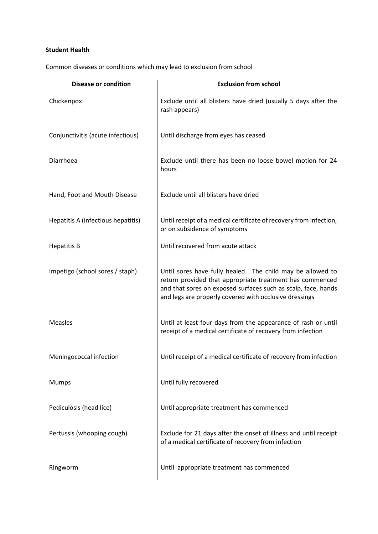# **Student Health**

Common diseases or conditions which may lead to exclusion from school

| <b>Disease or condition</b>        | <b>Exclusion from school</b>                                                                                                                                                                                                                      |
|------------------------------------|---------------------------------------------------------------------------------------------------------------------------------------------------------------------------------------------------------------------------------------------------|
| Chickenpox                         | Exclude until all blisters have dried (usually 5 days after the<br>rash appears)                                                                                                                                                                  |
| Conjunctivitis (acute infectious)  | Until discharge from eyes has ceased                                                                                                                                                                                                              |
| Diarrhoea                          | Exclude until there has been no loose bowel motion for 24<br>hours                                                                                                                                                                                |
| Hand, Foot and Mouth Disease       | Exclude until all blisters have dried                                                                                                                                                                                                             |
| Hepatitis A (infectious hepatitis) | Until receipt of a medical certificate of recovery from infection,<br>or on subsidence of symptoms                                                                                                                                                |
| <b>Hepatitis B</b>                 | Until recovered from acute attack                                                                                                                                                                                                                 |
| Impetigo (school sores / staph)    | Until sores have fully healed. The child may be allowed to<br>return provided that appropriate treatment has commenced<br>and that sores on exposed surfaces such as scalp, face, hands<br>and legs are properly covered with occlusive dressings |
| <b>Measles</b>                     | Until at least four days from the appearance of rash or until<br>receipt of a medical certificate of recovery from infection                                                                                                                      |
| Meningococcal infection            | Until receipt of a medical certificate of recovery from infection                                                                                                                                                                                 |
| Mumps                              | Until fully recovered                                                                                                                                                                                                                             |
| Pediculosis (head lice)            | Until appropriate treatment has commenced                                                                                                                                                                                                         |
| Pertussis (whooping cough)         | Exclude for 21 days after the onset of illness and until receipt<br>of a medical certificate of recovery from infection                                                                                                                           |
| Ringworm                           | Until appropriate treatment has commenced                                                                                                                                                                                                         |